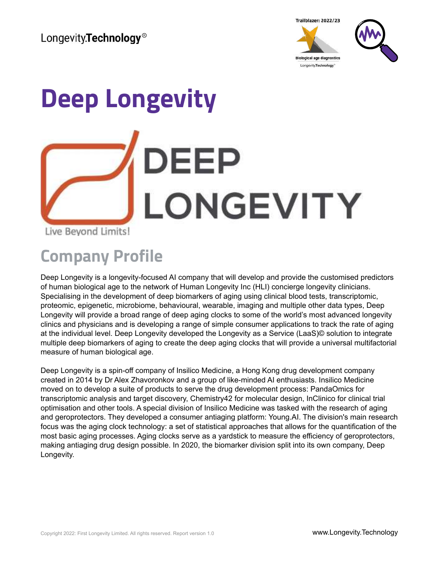

# **Deep Longevity DEEP LONGEVITY** Live Beyond Limits!

## **Company Profile**

Deep Longevity is a longevity-focused AI company that will develop and provide the customised predictors of human biological age to the network of Human Longevity Inc (HLI) concierge longevity clinicians. Specialising in the development of deep biomarkers of aging using clinical blood tests, transcriptomic, proteomic, epigenetic, microbiome, behavioural, wearable, imaging and multiple other data types, Deep Longevity will provide a broad range of deep aging clocks to some of the world's most advanced longevity clinics and physicians and is developing a range of simple consumer applications to track the rate of aging at the individual level. Deep Longevity developed the Longevity as a Service (LaaS)© solution to integrate multiple deep biomarkers of aging to create the deep aging clocks that will provide a universal multifactorial measure of human biological age.

Deep Longevity is a spin-off company of Insilico Medicine, a Hong Kong drug development company created in 2014 by Dr Alex Zhavoronkov and a group of like-minded AI enthusiasts. Insilico Medicine moved on to develop a suite of products to serve the drug development process: PandaOmics for transcriptomic analysis and target discovery, Chemistry42 for molecular design, InClinico for clinical trial optimisation and other tools. A special division of Insilico Medicine was tasked with the research of aging and geroprotectors. They developed a consumer antiaging platform: Young.AI. The division's main research focus was the aging clock technology: a set of statistical approaches that allows for the quantification of the most basic aging processes. Aging clocks serve as a yardstick to measure the efficiency of geroprotectors, making antiaging drug design possible. In 2020, the biomarker division split into its own company, Deep Longevity.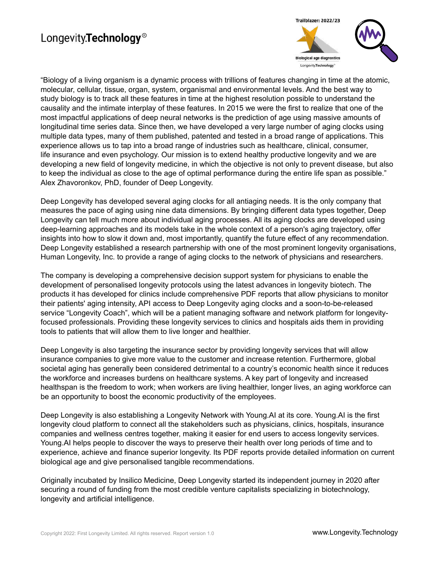#### Longevity.Technology<sup>®</sup>



"Biology of a living organism is a dynamic process with trillions of features changing in time at the atomic, molecular, cellular, tissue, organ, system, organismal and environmental levels. And the best way to study biology is to track all these features in time at the highest resolution possible to understand the causality and the intimate interplay of these features. In 2015 we were the first to realize that one of the most impactful applications of deep neural networks is the prediction of age using massive amounts of longitudinal time series data. Since then, we have developed a very large number of aging clocks using multiple data types, many of them published, patented and tested in a broad range of applications. This experience allows us to tap into a broad range of industries such as healthcare, clinical, consumer, life insurance and even psychology. Our mission is to extend healthy productive longevity and we are developing a new field of longevity medicine, in which the objective is not only to prevent disease, but also to keep the individual as close to the age of optimal performance during the entire life span as possible." Alex Zhavoronkov, PhD, founder of Deep Longevity.

Deep Longevity has developed several aging clocks for all antiaging needs. It is the only company that measures the pace of aging using nine data dimensions. By bringing different data types together, Deep Longevity can tell much more about individual aging processes. All its aging clocks are developed using deep-learning approaches and its models take in the whole context of a person's aging trajectory, offer insights into how to slow it down and, most importantly, quantify the future effect of any recommendation. Deep Longevity established a research partnership with one of the most prominent longevity organisations, Human Longevity, Inc. to provide a range of aging clocks to the network of physicians and researchers.

The company is developing a comprehensive decision support system for physicians to enable the development of personalised longevity protocols using the latest advances in longevity biotech. The products it has developed for clinics include comprehensive PDF reports that allow physicians to monitor their patients' aging intensity, API access to Deep Longevity aging clocks and a soon-to-be-released service "Longevity Coach", which will be a patient managing software and network platform for longevityfocused professionals. Providing these longevity services to clinics and hospitals aids them in providing tools to patients that will allow them to live longer and healthier.

Deep Longevity is also targeting the insurance sector by providing longevity services that will allow insurance companies to give more value to the customer and increase retention. Furthermore, global societal aging has generally been considered detrimental to a country's economic health since it reduces the workforce and increases burdens on healthcare systems. A key part of longevity and increased healthspan is the freedom to work; when workers are living healthier, longer lives, an aging workforce can be an opportunity to boost the economic productivity of the employees.

Deep Longevity is also establishing a Longevity Network with Young.AI at its core. Young.AI is the first longevity cloud platform to connect all the stakeholders such as physicians, clinics, hospitals, insurance companies and wellness centres together, making it easier for end users to access longevity services. Young.AI helps people to discover the ways to preserve their health over long periods of time and to experience, achieve and finance superior longevity. Its PDF reports provide detailed information on current biological age and give personalised tangible recommendations.

Originally incubated by Insilico Medicine, Deep Longevity started its independent journey in 2020 after securing a round of funding from the most credible venture capitalists specializing in biotechnology, longevity and artificial intelligence.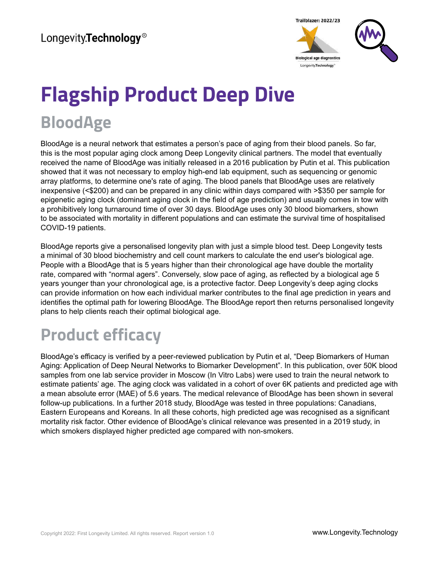

## **Flagship Product Deep Dive BloodAge**

BloodAge is a neural network that estimates a person's pace of aging from their blood panels. So far, this is the most popular aging clock among Deep Longevity clinical partners. The model that eventually received the name of BloodAge was initially released in a 2016 publication by Putin et al. This publication showed that it was not necessary to employ high-end lab equipment, such as sequencing or genomic array platforms, to determine one's rate of aging. The blood panels that BloodAge uses are relatively inexpensive (<\$200) and can be prepared in any clinic within days compared with >\$350 per sample for epigenetic aging clock (dominant aging clock in the field of age prediction) and usually comes in tow with a prohibitively long turnaround time of over 30 days. BloodAge uses only 30 blood biomarkers, shown to be associated with mortality in different populations and can estimate the survival time of hospitalised COVID-19 patients.

BloodAge reports give a personalised longevity plan with just a simple blood test. Deep Longevity tests a minimal of 30 blood biochemistry and cell count markers to calculate the end user's biological age. People with a BloodAge that is 5 years higher than their chronological age have double the mortality rate, compared with "normal agers". Conversely, slow pace of aging, as reflected by a biological age 5 years younger than your chronological age, is a protective factor. Deep Longevity's deep aging clocks can provide information on how each individual marker contributes to the final age prediction in years and identifies the optimal path for lowering BloodAge. The BloodAge report then returns personalised longevity plans to help clients reach their optimal biological age.

## **Product efficacy**

BloodAge's efficacy is verified by a peer-reviewed publication by Putin et al, "Deep Biomarkers of Human Aging: Application of Deep Neural Networks to Biomarker Development". In this publication, over 50K blood samples from one lab service provider in Moscow (In Vitro Labs) were used to train the neural network to estimate patients' age. The aging clock was validated in a cohort of over 6K patients and predicted age with a mean absolute error (MAE) of 5.6 years. The medical relevance of BloodAge has been shown in several follow-up publications. In a further 2018 study, BloodAge was tested in three populations: Canadians, Eastern Europeans and Koreans. In all these cohorts, high predicted age was recognised as a significant mortality risk factor. Other evidence of BloodAge's clinical relevance was presented in a 2019 study, in which smokers displayed higher predicted age compared with non-smokers.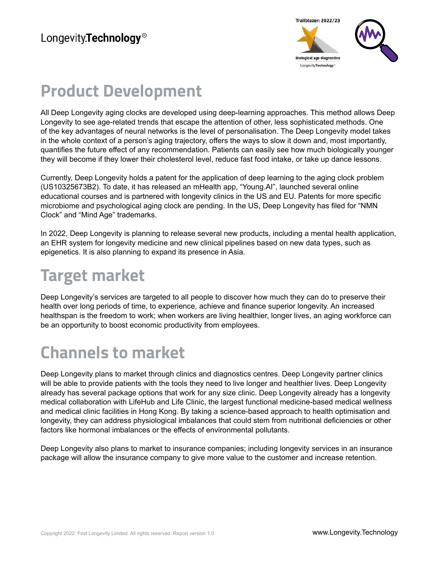

#### **Product Development**

All Deep Longevity aging clocks are developed using deep-learning approaches. This method allows Deep Longevity to see age-related trends that escape the attention of other, less sophisticated methods. One of the key advantages of neural networks is the level of personalisation. The Deep Longevity model takes in the whole context of a person's aging trajectory, offers the ways to slow it down and, most importantly, quantifies the future effect of any recommendation. Patients can easily see how much biologically younger they will become if they lower their cholesterol level, reduce fast food intake, or take up dance lessons.

Currently, Deep Longevity holds a patent for the application of deep learning to the aging clock problem (US10325673B2). To date, it has released an mHealth app, "Young.AI", launched several online educational courses and is partnered with longevity clinics in the US and EU. Patents for more specific microbiome and psychological aging clock are pending. In the US, Deep Longevity has filed for "NMN Clock" and "Mind Age" trademarks.

In 2022, Deep Longevity is planning to release several new products, including a mental health application, an EHR system for longevity medicine and new clinical pipelines based on new data types, such as epigenetics. It is also planning to expand its presence in Asia.

#### **Target market**

Deep Longevity's services are targeted to all people to discover how much they can do to preserve their health over long periods of time, to experience, achieve and finance superior longevity. An increased healthspan is the freedom to work; when workers are living healthier, longer lives, an aging workforce can be an opportunity to boost economic productivity from employees.

## **Channels to market**

Deep Longevity plans to market through clinics and diagnostics centres. Deep Longevity partner clinics will be able to provide patients with the tools they need to live longer and healthier lives. Deep Longevity already has several package options that work for any size clinic. Deep Longevity already has a longevity medical collaboration with LifeHub and Life Clinic, the largest functional medicine-based medical wellness and medical clinic facilities in Hong Kong. By taking a science-based approach to health optimisation and longevity, they can address physiological imbalances that could stem from nutritional deficiencies or other factors like hormonal imbalances or the effects of environmental pollutants.

Deep Longevity also plans to market to insurance companies; including longevity services in an insurance package will allow the insurance company to give more value to the customer and increase retention.